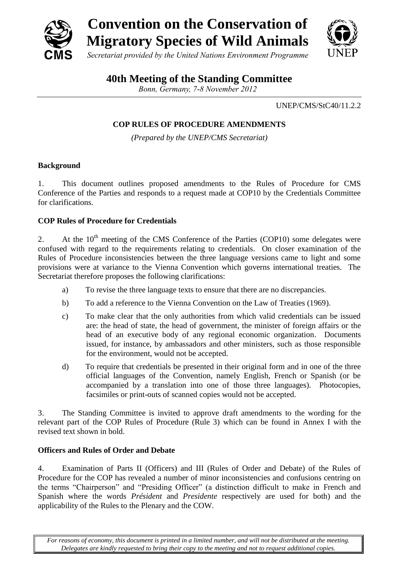

# **40th Meeting of the Standing Committee**

*Bonn, Germany, 7-8 November 2012*

UNEP/CMS/StC40/11.2.2

# **COP RULES OF PROCEDURE AMENDMENTS**

*(Prepared by the UNEP/CMS Secretariat)*

# **Background**

1. This document outlines proposed amendments to the Rules of Procedure for CMS Conference of the Parties and responds to a request made at COP10 by the Credentials Committee for clarifications.

# **COP Rules of Procedure for Credentials**

2. At the  $10<sup>th</sup>$  meeting of the CMS Conference of the Parties (COP10) some delegates were confused with regard to the requirements relating to credentials. On closer examination of the Rules of Procedure inconsistencies between the three language versions came to light and some provisions were at variance to the Vienna Convention which governs international treaties. The Secretariat therefore proposes the following clarifications:

- a) To revise the three language texts to ensure that there are no discrepancies.
- b) To add a reference to the Vienna Convention on the Law of Treaties (1969).
- c) To make clear that the only authorities from which valid credentials can be issued are: the head of state, the head of government, the minister of foreign affairs or the head of an executive body of any regional economic organization. Documents issued, for instance, by ambassadors and other ministers, such as those responsible for the environment, would not be accepted.
- d) To require that credentials be presented in their original form and in one of the three official languages of the Convention, namely English, French or Spanish (or be accompanied by a translation into one of those three languages). Photocopies, facsimiles or print-outs of scanned copies would not be accepted.

3. The Standing Committee is invited to approve draft amendments to the wording for the relevant part of the COP Rules of Procedure (Rule 3) which can be found in Annex I with the revised text shown in bold.

# **Officers and Rules of Order and Debate**

4. Examination of Parts II (Officers) and III (Rules of Order and Debate) of the Rules of Procedure for the COP has revealed a number of minor inconsistencies and confusions centring on the terms "Chairperson" and "Presiding Officer" (a distinction difficult to make in French and Spanish where the words *Président* and *Presidente* respectively are used for both) and the applicability of the Rules to the Plenary and the COW.

*For reasons of economy, this document is printed in a limited number, and will not be distributed at the meeting. Delegates are kindly requested to bring their copy to the meeting and not to request additional copies.*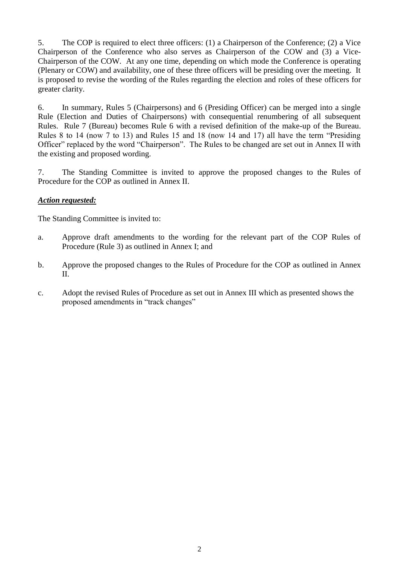5. The COP is required to elect three officers: (1) a Chairperson of the Conference; (2) a Vice Chairperson of the Conference who also serves as Chairperson of the COW and (3) a Vice-Chairperson of the COW. At any one time, depending on which mode the Conference is operating (Plenary or COW) and availability, one of these three officers will be presiding over the meeting. It is proposed to revise the wording of the Rules regarding the election and roles of these officers for greater clarity.

6. In summary, Rules 5 (Chairpersons) and 6 (Presiding Officer) can be merged into a single Rule (Election and Duties of Chairpersons) with consequential renumbering of all subsequent Rules. Rule 7 (Bureau) becomes Rule 6 with a revised definition of the make-up of the Bureau. Rules 8 to 14 (now 7 to 13) and Rules 15 and 18 (now 14 and 17) all have the term "Presiding Officer" replaced by the word "Chairperson". The Rules to be changed are set out in Annex II with the existing and proposed wording.

7. The Standing Committee is invited to approve the proposed changes to the Rules of Procedure for the COP as outlined in Annex II.

## *Action requested:*

The Standing Committee is invited to:

- a. Approve draft amendments to the wording for the relevant part of the COP Rules of Procedure (Rule 3) as outlined in Annex I; and
- b. Approve the proposed changes to the Rules of Procedure for the COP as outlined in Annex II.
- c. Adopt the revised Rules of Procedure as set out in Annex III which as presented shows the proposed amendments in "track changes"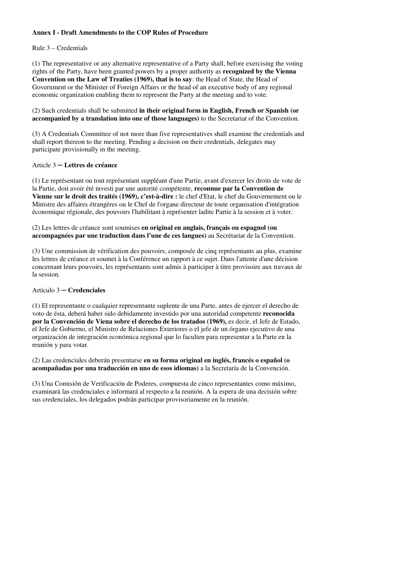#### **Annex I - Draft Amendments to the COP Rules of Procedure**

#### Rule 3 – Credentials

(1) The representative or any alternative representative of a Party shall, before exercising the voting rights of the Party, have been granted powers by a proper authority as **recognized by the Vienna Convention on the Law of Treaties (1969), that is to say**: the Head of State, the Head of Government or the Minister of Foreign Affairs or the head of an executive body of any regional economic organization enabling them to represent the Party at the meeting and to vote.

(2) Such credentials shall be submitted **in their original form in English, French or Spanish (or accompanied by a translation into one of those languages)** to the Secretariat of the Convention.

(3) A Credentials Committee of not more than five representatives shall examine the credentials and shall report thereon to the meeting. Pending a decision on their credentials, delegates may participate provisionally in the meeting.

#### Article 3 ─ **Lettres de créance**

(1) Le représentant ou tout représentant suppléant d'une Partie, avant d'exercer les droits de vote de la Partie, doit avoir été investi par une autorité compétente, **reconnue par la Convention de Vienne sur le droit des traités (1969), c'est-à-dire :** le chef d'Etat, le chef du Gouvernement ou le Ministre des affaires étrangères ou le Chef de l'organe directeur de toute organisation d'intégration économique régionale, des pouvoirs l'habilitant à représenter ladite Partie à la session et à voter.

(2) Les lettres de créance sont soumises **en original en anglais, français ou espagnol (ou accompagnées par une traduction dans l'une de ces langues)** au Secrétariat de la Convention.

(3) Une commission de vérification des pouvoirs, composée de cinq représentants au plus, examine les lettres de créance et soumet à la Conférence un rapport à ce sujet. Dans l'attente d'une décision concernant leurs pouvoirs, les représentants sont admis à participer à titre provisoire aux travaux de la session.

#### Artículo 3 ─ **Credenciales**

(1) El representante o cualquier representante suplente de una Parte, antes de ejercer el derecho de voto de ésta, deberá haber sido debidamente investido por una autoridad competente **reconocida por la Convención de Viena sobre el derecho de los tratados (1969),** es decir, el Jefe de Estado, el Jefe de Gobierno, el Ministro de Relaciones Exteriores o el jefe de un órgano ejecutivo de una organización de integración económica regional que lo faculten para representar a la Parte en la reunión y para votar.

(2) Las credenciales deberán presentarse **en su forma original en inglés, francés o español (o acompañadas por una traducción en uno de esos idiomas)** a la Secretaría de la Convención.

(3) Una Comisión de Verificación de Poderes, compuesta de cinco representantes como máximo, examinará las credenciales e informará al respecto a la reunión. A la espera de una decisión sobre sus credenciales, los delegados podrán participar provisoriamente en la reunión.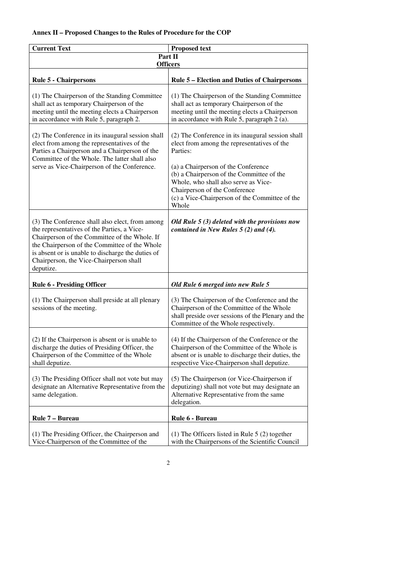### **Annex II – Proposed Changes to the Rules of Procedure for the COP**

| <b>Current Text</b><br><b>Proposed text</b>                                                                                                                                                                                                                                                                                                                                                                                                                                                                                                                                                 |                                                                                                                                                                                                      |  |  |  |
|---------------------------------------------------------------------------------------------------------------------------------------------------------------------------------------------------------------------------------------------------------------------------------------------------------------------------------------------------------------------------------------------------------------------------------------------------------------------------------------------------------------------------------------------------------------------------------------------|------------------------------------------------------------------------------------------------------------------------------------------------------------------------------------------------------|--|--|--|
| Part II<br><b>Officers</b>                                                                                                                                                                                                                                                                                                                                                                                                                                                                                                                                                                  |                                                                                                                                                                                                      |  |  |  |
| <b>Rule 5 - Chairpersons</b>                                                                                                                                                                                                                                                                                                                                                                                                                                                                                                                                                                | <b>Rule 5 – Election and Duties of Chairpersons</b>                                                                                                                                                  |  |  |  |
| (1) The Chairperson of the Standing Committee<br>shall act as temporary Chairperson of the<br>meeting until the meeting elects a Chairperson<br>in accordance with Rule 5, paragraph 2.                                                                                                                                                                                                                                                                                                                                                                                                     | (1) The Chairperson of the Standing Committee<br>shall act as temporary Chairperson of the<br>meeting until the meeting elects a Chairperson<br>in accordance with Rule 5, paragraph 2 (a).          |  |  |  |
| (2) The Conference in its inaugural session shall<br>(2) The Conference in its inaugural session shall<br>elect from among the representatives of the<br>elect from among the representatives of the<br>Parties a Chairperson and a Chairperson of the<br>Parties:<br>Committee of the Whole. The latter shall also<br>serve as Vice-Chairperson of the Conference.<br>(a) a Chairperson of the Conference<br>(b) a Chairperson of the Committee of the<br>Whole, who shall also serve as Vice-<br>Chairperson of the Conference<br>(c) a Vice-Chairperson of the Committee of the<br>Whole |                                                                                                                                                                                                      |  |  |  |
| (3) The Conference shall also elect, from among<br>the representatives of the Parties, a Vice-<br>Chairperson of the Committee of the Whole. If<br>the Chairperson of the Committee of the Whole<br>is absent or is unable to discharge the duties of<br>Chairperson, the Vice-Chairperson shall<br>deputize.                                                                                                                                                                                                                                                                               | Old Rule $5(3)$ deleted with the provisions now<br>contained in New Rules $5(2)$ and $(4)$ .                                                                                                         |  |  |  |
| <b>Rule 6 - Presiding Officer</b>                                                                                                                                                                                                                                                                                                                                                                                                                                                                                                                                                           | Old Rule 6 merged into new Rule 5                                                                                                                                                                    |  |  |  |
| (1) The Chairperson shall preside at all plenary<br>sessions of the meeting.                                                                                                                                                                                                                                                                                                                                                                                                                                                                                                                | (3) The Chairperson of the Conference and the<br>Chairperson of the Committee of the Whole<br>shall preside over sessions of the Plenary and the<br>Committee of the Whole respectively.             |  |  |  |
| (2) If the Chairperson is absent or is unable to<br>discharge the duties of Presiding Officer, the<br>Chairperson of the Committee of the Whole<br>shall deputize.                                                                                                                                                                                                                                                                                                                                                                                                                          | (4) If the Chairperson of the Conference or the<br>Chairperson of the Committee of the Whole is<br>absent or is unable to discharge their duties, the<br>respective Vice-Chairperson shall deputize. |  |  |  |
| (3) The Presiding Officer shall not vote but may<br>designate an Alternative Representative from the<br>same delegation.                                                                                                                                                                                                                                                                                                                                                                                                                                                                    | (5) The Chairperson (or Vice-Chairperson if<br>deputizing) shall not vote but may designate an<br>Alternative Representative from the same<br>delegation.                                            |  |  |  |
| Rule 7 - Bureau                                                                                                                                                                                                                                                                                                                                                                                                                                                                                                                                                                             | Rule 6 - Bureau                                                                                                                                                                                      |  |  |  |
| (1) The Presiding Officer, the Chairperson and<br>Vice-Chairperson of the Committee of the                                                                                                                                                                                                                                                                                                                                                                                                                                                                                                  | (1) The Officers listed in Rule $5(2)$ together<br>with the Chairpersons of the Scientific Council                                                                                                   |  |  |  |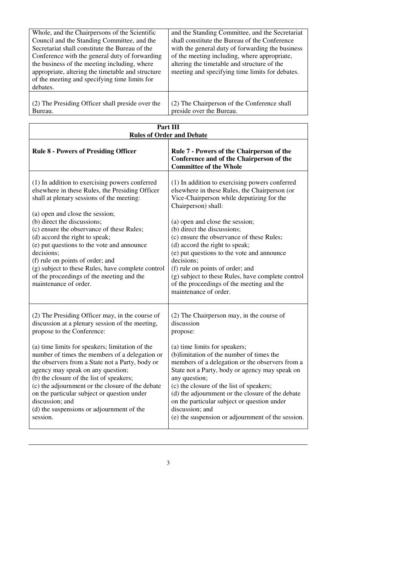| Whole, and the Chairpersons of the Scientific<br>Council and the Standing Committee, and the<br>Secretariat shall constitute the Bureau of the<br>Conference with the general duty of forwarding<br>the business of the meeting including, where<br>appropriate, altering the timetable and structure<br>of the meeting and specifying time limits for<br>debates. | and the Standing Committee, and the Secretariat<br>shall constitute the Bureau of the Conference<br>with the general duty of forwarding the business<br>of the meeting including, where appropriate,<br>altering the timetable and structure of the<br>meeting and specifying time limits for debates. |
|--------------------------------------------------------------------------------------------------------------------------------------------------------------------------------------------------------------------------------------------------------------------------------------------------------------------------------------------------------------------|--------------------------------------------------------------------------------------------------------------------------------------------------------------------------------------------------------------------------------------------------------------------------------------------------------|
| (2) The Presiding Officer shall preside over the                                                                                                                                                                                                                                                                                                                   | (2) The Chairperson of the Conference shall                                                                                                                                                                                                                                                            |
| Bureau.                                                                                                                                                                                                                                                                                                                                                            | preside over the Bureau.                                                                                                                                                                                                                                                                               |

| Part III<br><b>Rules of Order and Debate</b>                                                                                                                                                                                                                                                                                                                                                                                                                                                                                                             |                                                                                                                                                                                                                                                                                                                                                                                                                                                                                                                                                 |  |  |
|----------------------------------------------------------------------------------------------------------------------------------------------------------------------------------------------------------------------------------------------------------------------------------------------------------------------------------------------------------------------------------------------------------------------------------------------------------------------------------------------------------------------------------------------------------|-------------------------------------------------------------------------------------------------------------------------------------------------------------------------------------------------------------------------------------------------------------------------------------------------------------------------------------------------------------------------------------------------------------------------------------------------------------------------------------------------------------------------------------------------|--|--|
| <b>Rule 8 - Powers of Presiding Officer</b>                                                                                                                                                                                                                                                                                                                                                                                                                                                                                                              | Rule 7 - Powers of the Chairperson of the<br>Conference and of the Chairperson of the<br><b>Committee of the Whole</b>                                                                                                                                                                                                                                                                                                                                                                                                                          |  |  |
| (1) In addition to exercising powers conferred<br>elsewhere in these Rules, the Presiding Officer<br>shall at plenary sessions of the meeting:<br>(a) open and close the session;<br>(b) direct the discussions;<br>(c) ensure the observance of these Rules;<br>(d) accord the right to speak;<br>(e) put questions to the vote and announce<br>decisions;<br>(f) rule on points of order; and<br>(g) subject to these Rules, have complete control<br>of the proceedings of the meeting and the<br>maintenance of order.                               | (1) In addition to exercising powers conferred<br>elsewhere in these Rules, the Chairperson (or<br>Vice-Chairperson while deputizing for the<br>Chairperson) shall:<br>(a) open and close the session;<br>(b) direct the discussions;<br>(c) ensure the observance of these Rules;<br>(d) accord the right to speak;<br>(e) put questions to the vote and announce<br>decisions;<br>(f) rule on points of order; and<br>(g) subject to these Rules, have complete control<br>of the proceedings of the meeting and the<br>maintenance of order. |  |  |
| (2) The Presiding Officer may, in the course of<br>discussion at a plenary session of the meeting,<br>propose to the Conference:<br>(a) time limits for speakers; limitation of the<br>number of times the members of a delegation or<br>the observers from a State not a Party, body or<br>agency may speak on any question;<br>(b) the closure of the list of speakers;<br>(c) the adjournment or the closure of the debate<br>on the particular subject or question under<br>discussion; and<br>(d) the suspensions or adjournment of the<br>session. | (2) The Chairperson may, in the course of<br>discussion<br>propose:<br>(a) time limits for speakers;<br>(b)limitation of the number of times the<br>members of a delegation or the observers from a<br>State not a Party, body or agency may speak on<br>any question;<br>(c) the closure of the list of speakers;<br>(d) the adjournment or the closure of the debate<br>on the particular subject or question under<br>discussion; and<br>(e) the suspension or adjournment of the session.                                                   |  |  |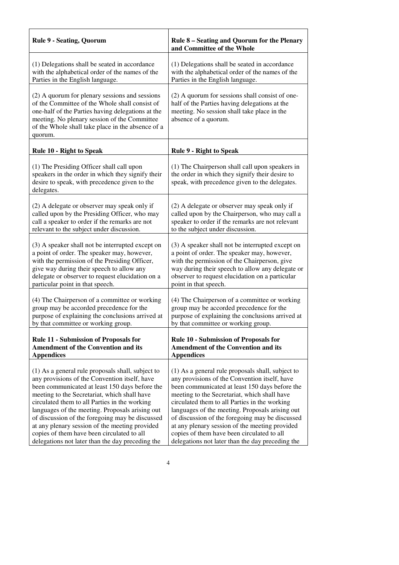| <b>Rule 9 - Seating, Quorum</b>                                                                                                                                                                                                                                       | Rule 8 – Seating and Quorum for the Plenary<br>and Committee of the Whole                                                                                               |  |  |
|-----------------------------------------------------------------------------------------------------------------------------------------------------------------------------------------------------------------------------------------------------------------------|-------------------------------------------------------------------------------------------------------------------------------------------------------------------------|--|--|
| (1) Delegations shall be seated in accordance                                                                                                                                                                                                                         | (1) Delegations shall be seated in accordance                                                                                                                           |  |  |
| with the alphabetical order of the names of the                                                                                                                                                                                                                       | with the alphabetical order of the names of the                                                                                                                         |  |  |
| Parties in the English language.                                                                                                                                                                                                                                      | Parties in the English language.                                                                                                                                        |  |  |
| (2) A quorum for plenary sessions and sessions<br>of the Committee of the Whole shall consist of<br>one-half of the Parties having delegations at the<br>meeting. No plenary session of the Committee<br>of the Whole shall take place in the absence of a<br>quorum. | (2) A quorum for sessions shall consist of one-<br>half of the Parties having delegations at the<br>meeting. No session shall take place in the<br>absence of a quorum. |  |  |
| <b>Rule 10 - Right to Speak</b>                                                                                                                                                                                                                                       | <b>Rule 9 - Right to Speak</b>                                                                                                                                          |  |  |
| (1) The Presiding Officer shall call upon<br>speakers in the order in which they signify their<br>desire to speak, with precedence given to the<br>delegates.                                                                                                         | (1) The Chairperson shall call upon speakers in<br>the order in which they signify their desire to<br>speak, with precedence given to the delegates.                    |  |  |
| (2) A delegate or observer may speak only if                                                                                                                                                                                                                          | (2) A delegate or observer may speak only if                                                                                                                            |  |  |
| called upon by the Presiding Officer, who may                                                                                                                                                                                                                         | called upon by the Chairperson, who may call a                                                                                                                          |  |  |
| call a speaker to order if the remarks are not                                                                                                                                                                                                                        | speaker to order if the remarks are not relevant                                                                                                                        |  |  |
| relevant to the subject under discussion.                                                                                                                                                                                                                             | to the subject under discussion.                                                                                                                                        |  |  |
| (3) A speaker shall not be interrupted except on                                                                                                                                                                                                                      | (3) A speaker shall not be interrupted except on                                                                                                                        |  |  |
| a point of order. The speaker may, however,                                                                                                                                                                                                                           | a point of order. The speaker may, however,                                                                                                                             |  |  |
| with the permission of the Presiding Officer,                                                                                                                                                                                                                         | with the permission of the Chairperson, give                                                                                                                            |  |  |
| give way during their speech to allow any                                                                                                                                                                                                                             | way during their speech to allow any delegate or                                                                                                                        |  |  |
| delegate or observer to request elucidation on a                                                                                                                                                                                                                      | observer to request elucidation on a particular                                                                                                                         |  |  |
| particular point in that speech.                                                                                                                                                                                                                                      | point in that speech.                                                                                                                                                   |  |  |
| (4) The Chairperson of a committee or working                                                                                                                                                                                                                         | (4) The Chairperson of a committee or working                                                                                                                           |  |  |
| group may be accorded precedence for the                                                                                                                                                                                                                              | group may be accorded precedence for the                                                                                                                                |  |  |
| purpose of explaining the conclusions arrived at                                                                                                                                                                                                                      | purpose of explaining the conclusions arrived at                                                                                                                        |  |  |
| by that committee or working group.                                                                                                                                                                                                                                   | by that committee or working group.                                                                                                                                     |  |  |
| <b>Rule 11 - Submission of Proposals for</b>                                                                                                                                                                                                                          | <b>Rule 10 - Submission of Proposals for</b>                                                                                                                            |  |  |
| <b>Amendment of the Convention and its</b>                                                                                                                                                                                                                            | <b>Amendment of the Convention and its</b>                                                                                                                              |  |  |
| <b>Appendices</b>                                                                                                                                                                                                                                                     | <b>Appendices</b>                                                                                                                                                       |  |  |
| (1) As a general rule proposals shall, subject to                                                                                                                                                                                                                     | (1) As a general rule proposals shall, subject to                                                                                                                       |  |  |
| any provisions of the Convention itself, have                                                                                                                                                                                                                         | any provisions of the Convention itself, have                                                                                                                           |  |  |
| been communicated at least 150 days before the                                                                                                                                                                                                                        | been communicated at least 150 days before the                                                                                                                          |  |  |
| meeting to the Secretariat, which shall have                                                                                                                                                                                                                          | meeting to the Secretariat, which shall have                                                                                                                            |  |  |
| circulated them to all Parties in the working                                                                                                                                                                                                                         | circulated them to all Parties in the working                                                                                                                           |  |  |
| languages of the meeting. Proposals arising out                                                                                                                                                                                                                       | languages of the meeting. Proposals arising out                                                                                                                         |  |  |
| of discussion of the foregoing may be discussed                                                                                                                                                                                                                       | of discussion of the foregoing may be discussed                                                                                                                         |  |  |
| at any plenary session of the meeting provided                                                                                                                                                                                                                        | at any plenary session of the meeting provided                                                                                                                          |  |  |
| copies of them have been circulated to all                                                                                                                                                                                                                            | copies of them have been circulated to all                                                                                                                              |  |  |
| delegations not later than the day preceding the                                                                                                                                                                                                                      | delegations not later than the day preceding the                                                                                                                        |  |  |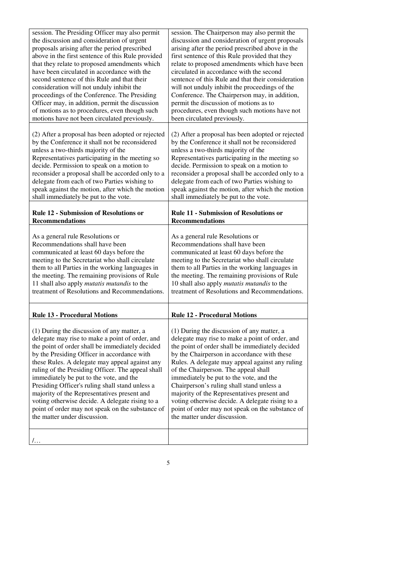| session. The Presiding Officer may also permit<br>the discussion and consideration of urgent | session. The Chairperson may also permit the       |  |  |  |  |
|----------------------------------------------------------------------------------------------|----------------------------------------------------|--|--|--|--|
|                                                                                              | discussion and consideration of urgent proposals   |  |  |  |  |
| proposals arising after the period prescribed                                                | arising after the period prescribed above in the   |  |  |  |  |
| above in the first sentence of this Rule provided                                            | first sentence of this Rule provided that they     |  |  |  |  |
| that they relate to proposed amendments which                                                | relate to proposed amendments which have been      |  |  |  |  |
| have been circulated in accordance with the                                                  | circulated in accordance with the second           |  |  |  |  |
| second sentence of this Rule and that their                                                  | sentence of this Rule and that their consideration |  |  |  |  |
| consideration will not unduly inhibit the                                                    | will not unduly inhibit the proceedings of the     |  |  |  |  |
| proceedings of the Conference. The Presiding                                                 | Conference. The Chairperson may, in addition,      |  |  |  |  |
| Officer may, in addition, permit the discussion                                              | permit the discussion of motions as to             |  |  |  |  |
| of motions as to procedures, even though such                                                | procedures, even though such motions have not      |  |  |  |  |
| motions have not been circulated previously.                                                 | been circulated previously.                        |  |  |  |  |
|                                                                                              |                                                    |  |  |  |  |
| (2) After a proposal has been adopted or rejected                                            | (2) After a proposal has been adopted or rejected  |  |  |  |  |
| by the Conference it shall not be reconsidered                                               | by the Conference it shall not be reconsidered     |  |  |  |  |
| unless a two-thirds majority of the                                                          | unless a two-thirds majority of the                |  |  |  |  |
| Representatives participating in the meeting so                                              | Representatives participating in the meeting so    |  |  |  |  |
| decide. Permission to speak on a motion to                                                   | decide. Permission to speak on a motion to         |  |  |  |  |
| reconsider a proposal shall be accorded only to a                                            | reconsider a proposal shall be accorded only to a  |  |  |  |  |
| delegate from each of two Parties wishing to                                                 | delegate from each of two Parties wishing to       |  |  |  |  |
| speak against the motion, after which the motion                                             | speak against the motion, after which the motion   |  |  |  |  |
| shall immediately be put to the vote.                                                        | shall immediately be put to the vote.              |  |  |  |  |
|                                                                                              |                                                    |  |  |  |  |
| <b>Rule 12 - Submission of Resolutions or</b>                                                | <b>Rule 11 - Submission of Resolutions or</b>      |  |  |  |  |
| <b>Recommendations</b>                                                                       | <b>Recommendations</b>                             |  |  |  |  |
|                                                                                              |                                                    |  |  |  |  |
| As a general rule Resolutions or                                                             | As a general rule Resolutions or                   |  |  |  |  |
| Recommendations shall have been                                                              | Recommendations shall have been                    |  |  |  |  |
| communicated at least 60 days before the                                                     | communicated at least 60 days before the           |  |  |  |  |
|                                                                                              | meeting to the Secretariat who shall circulate     |  |  |  |  |
| meeting to the Secretariat who shall circulate                                               |                                                    |  |  |  |  |
| them to all Parties in the working languages in                                              | them to all Parties in the working languages in    |  |  |  |  |
| the meeting. The remaining provisions of Rule                                                | the meeting. The remaining provisions of Rule      |  |  |  |  |
| 11 shall also apply mutatis mutandis to the                                                  | 10 shall also apply mutatis mutandis to the        |  |  |  |  |
| treatment of Resolutions and Recommendations.                                                | treatment of Resolutions and Recommendations.      |  |  |  |  |
|                                                                                              |                                                    |  |  |  |  |
|                                                                                              |                                                    |  |  |  |  |
| <b>Rule 13 - Procedural Motions</b>                                                          | <b>Rule 12 - Procedural Motions</b>                |  |  |  |  |
|                                                                                              |                                                    |  |  |  |  |
| (1) During the discussion of any matter, a                                                   | (1) During the discussion of any matter, a         |  |  |  |  |
| delegate may rise to make a point of order, and                                              | delegate may rise to make a point of order, and    |  |  |  |  |
| the point of order shall be immediately decided                                              | the point of order shall be immediately decided    |  |  |  |  |
| by the Presiding Officer in accordance with                                                  | by the Chairperson in accordance with these        |  |  |  |  |
| these Rules. A delegate may appeal against any                                               | Rules. A delegate may appeal against any ruling    |  |  |  |  |
| ruling of the Presiding Officer. The appeal shall                                            | of the Chairperson. The appeal shall               |  |  |  |  |
| immediately be put to the vote, and the                                                      | immediately be put to the vote, and the            |  |  |  |  |
| Presiding Officer's ruling shall stand unless a                                              | Chairperson's ruling shall stand unless a          |  |  |  |  |
| majority of the Representatives present and                                                  | majority of the Representatives present and        |  |  |  |  |
| voting otherwise decide. A delegate rising to a                                              | voting otherwise decide. A delegate rising to a    |  |  |  |  |
| point of order may not speak on the substance of                                             | point of order may not speak on the substance of   |  |  |  |  |
| the matter under discussion.                                                                 | the matter under discussion.                       |  |  |  |  |
|                                                                                              |                                                    |  |  |  |  |
| $/$                                                                                          |                                                    |  |  |  |  |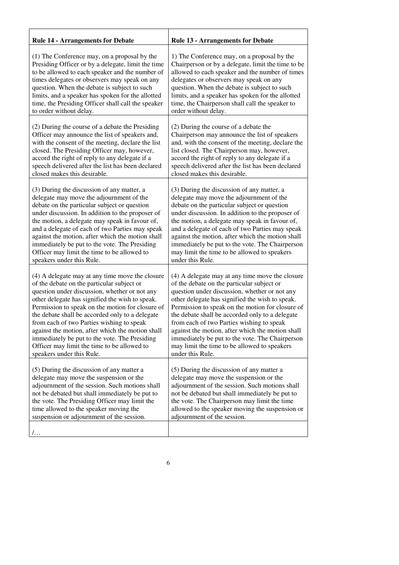| <b>Rule 14 - Arrangements for Debate</b>                                                                                                                                                                                                                                                                                              | <b>Rule 13 - Arrangements for Debate</b>                                                                                                                                                                                                                                                                                   |
|---------------------------------------------------------------------------------------------------------------------------------------------------------------------------------------------------------------------------------------------------------------------------------------------------------------------------------------|----------------------------------------------------------------------------------------------------------------------------------------------------------------------------------------------------------------------------------------------------------------------------------------------------------------------------|
| (1) The Conference may, on a proposal by the                                                                                                                                                                                                                                                                                          | 1) The Conference may, on a proposal by the                                                                                                                                                                                                                                                                                |
| Presiding Officer or by a delegate, limit the time                                                                                                                                                                                                                                                                                    | Chairperson or by a delegate, limit the time to be                                                                                                                                                                                                                                                                         |
| to be allowed to each speaker and the number of                                                                                                                                                                                                                                                                                       | allowed to each speaker and the number of times                                                                                                                                                                                                                                                                            |
| times delegates or observers may speak on any                                                                                                                                                                                                                                                                                         | delegates or observers may speak on any                                                                                                                                                                                                                                                                                    |
| question. When the debate is subject to such                                                                                                                                                                                                                                                                                          | question. When the debate is subject to such                                                                                                                                                                                                                                                                               |
| limits, and a speaker has spoken for the allotted                                                                                                                                                                                                                                                                                     | limits, and a speaker has spoken for the allotted                                                                                                                                                                                                                                                                          |
| time, the Presiding Officer shall call the speaker                                                                                                                                                                                                                                                                                    | time, the Chairperson shall call the speaker to                                                                                                                                                                                                                                                                            |
| to order without delay.                                                                                                                                                                                                                                                                                                               | order without delay.                                                                                                                                                                                                                                                                                                       |
| (2) During the course of a debate the Presiding                                                                                                                                                                                                                                                                                       | (2) During the course of a debate the                                                                                                                                                                                                                                                                                      |
| Officer may announce the list of speakers and,                                                                                                                                                                                                                                                                                        | Chairperson may announce the list of speakers                                                                                                                                                                                                                                                                              |
| with the consent of the meeting, declare the list                                                                                                                                                                                                                                                                                     | and, with the consent of the meeting, declare the                                                                                                                                                                                                                                                                          |
| closed. The Presiding Officer may, however,                                                                                                                                                                                                                                                                                           | list closed. The Chairperson may, however,                                                                                                                                                                                                                                                                                 |
| accord the right of reply to any delegate if a                                                                                                                                                                                                                                                                                        | accord the right of reply to any delegate if a                                                                                                                                                                                                                                                                             |
| speech delivered after the list has been declared                                                                                                                                                                                                                                                                                     | speech delivered after the list has been declared                                                                                                                                                                                                                                                                          |
| closed makes this desirable.                                                                                                                                                                                                                                                                                                          | closed makes this desirable.                                                                                                                                                                                                                                                                                               |
| (3) During the discussion of any matter, a                                                                                                                                                                                                                                                                                            | (3) During the discussion of any matter, a                                                                                                                                                                                                                                                                                 |
| delegate may move the adjournment of the                                                                                                                                                                                                                                                                                              | delegate may move the adjournment of the                                                                                                                                                                                                                                                                                   |
| debate on the particular subject or question                                                                                                                                                                                                                                                                                          | debate on the particular subject or question                                                                                                                                                                                                                                                                               |
| under discussion. In addition to the proposer of                                                                                                                                                                                                                                                                                      | under discussion. In addition to the proposer of                                                                                                                                                                                                                                                                           |
| the motion, a delegate may speak in favour of,                                                                                                                                                                                                                                                                                        | the motion, a delegate may speak in favour of,                                                                                                                                                                                                                                                                             |
| and a delegate of each of two Parties may speak                                                                                                                                                                                                                                                                                       | and a delegate of each of two Parties may speak                                                                                                                                                                                                                                                                            |
| against the motion, after which the motion shall                                                                                                                                                                                                                                                                                      | against the motion, after which the motion shall                                                                                                                                                                                                                                                                           |
| immediately be put to the vote. The Presiding                                                                                                                                                                                                                                                                                         | immediately be put to the vote. The Chairperson                                                                                                                                                                                                                                                                            |
| Officer may limit the time to be allowed to                                                                                                                                                                                                                                                                                           | may limit the time to be allowed to speakers                                                                                                                                                                                                                                                                               |
| speakers under this Rule.                                                                                                                                                                                                                                                                                                             | under this Rule.                                                                                                                                                                                                                                                                                                           |
| (4) A delegate may at any time move the closure                                                                                                                                                                                                                                                                                       | (4) A delegate may at any time move the closure                                                                                                                                                                                                                                                                            |
| of the debate on the particular subject or                                                                                                                                                                                                                                                                                            | of the debate on the particular subject or                                                                                                                                                                                                                                                                                 |
| question under discussion, whether or not any                                                                                                                                                                                                                                                                                         | question under discussion, whether or not any                                                                                                                                                                                                                                                                              |
| other delegate has signified the wish to speak.                                                                                                                                                                                                                                                                                       | other delegate has signified the wish to speak.                                                                                                                                                                                                                                                                            |
| Permission to speak on the motion for closure of                                                                                                                                                                                                                                                                                      | Permission to speak on the motion for closure of                                                                                                                                                                                                                                                                           |
| the debate shall be accorded only to a delegate                                                                                                                                                                                                                                                                                       | the debate shall be accorded only to a delegate                                                                                                                                                                                                                                                                            |
| from each of two Parties wishing to speak                                                                                                                                                                                                                                                                                             | from each of two Parties wishing to speak                                                                                                                                                                                                                                                                                  |
| against the motion, after which the motion shall                                                                                                                                                                                                                                                                                      | against the motion, after which the motion shall                                                                                                                                                                                                                                                                           |
| immediately be put to the vote. The Presiding                                                                                                                                                                                                                                                                                         | immediately be put to the vote. The Chairperson                                                                                                                                                                                                                                                                            |
| Officer may limit the time to be allowed to                                                                                                                                                                                                                                                                                           | may limit the time to be allowed to speakers                                                                                                                                                                                                                                                                               |
| speakers under this Rule.                                                                                                                                                                                                                                                                                                             | under this Rule.                                                                                                                                                                                                                                                                                                           |
| (5) During the discussion of any matter a<br>delegate may move the suspension or the<br>adjournment of the session. Such motions shall<br>not be debated but shall immediately be put to<br>the vote. The Presiding Officer may limit the<br>time allowed to the speaker moving the<br>suspension or adjournment of the session.<br>٬ | (5) During the discussion of any matter a<br>delegate may move the suspension or the<br>adjournment of the session. Such motions shall<br>not be debated but shall immediately be put to<br>the vote. The Chairperson may limit the time<br>allowed to the speaker moving the suspension or<br>adjournment of the session. |
|                                                                                                                                                                                                                                                                                                                                       |                                                                                                                                                                                                                                                                                                                            |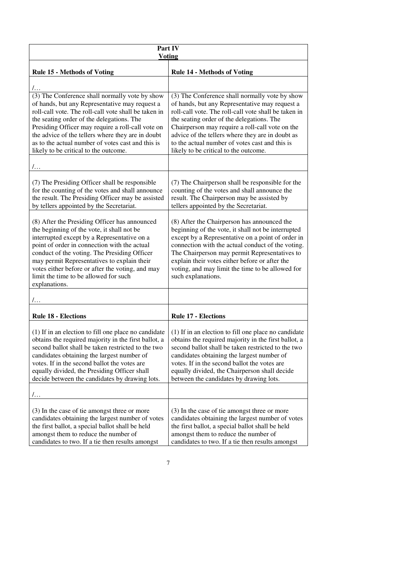| Part IV<br><b>Voting</b>                                                                                                                                                                                                                                                                                                                                                                                      |                                                                                                                                                                                                                                                                                                                                                                                                         |  |  |  |  |
|---------------------------------------------------------------------------------------------------------------------------------------------------------------------------------------------------------------------------------------------------------------------------------------------------------------------------------------------------------------------------------------------------------------|---------------------------------------------------------------------------------------------------------------------------------------------------------------------------------------------------------------------------------------------------------------------------------------------------------------------------------------------------------------------------------------------------------|--|--|--|--|
| <b>Rule 15 - Methods of Voting</b>                                                                                                                                                                                                                                                                                                                                                                            | <b>Rule 14 - Methods of Voting</b>                                                                                                                                                                                                                                                                                                                                                                      |  |  |  |  |
| $/$                                                                                                                                                                                                                                                                                                                                                                                                           |                                                                                                                                                                                                                                                                                                                                                                                                         |  |  |  |  |
| (3) The Conference shall normally vote by show<br>of hands, but any Representative may request a<br>roll-call vote. The roll-call vote shall be taken in<br>the seating order of the delegations. The<br>Presiding Officer may require a roll-call vote on<br>the advice of the tellers where they are in doubt<br>as to the actual number of votes cast and this is<br>likely to be critical to the outcome. | (3) The Conference shall normally vote by show<br>of hands, but any Representative may request a<br>roll-call vote. The roll-call vote shall be taken in<br>the seating order of the delegations. The<br>Chairperson may require a roll-call vote on the<br>advice of the tellers where they are in doubt as<br>to the actual number of votes cast and this is<br>likely to be critical to the outcome. |  |  |  |  |
| $\mathcal{L}$                                                                                                                                                                                                                                                                                                                                                                                                 |                                                                                                                                                                                                                                                                                                                                                                                                         |  |  |  |  |
| (7) The Presiding Officer shall be responsible<br>for the counting of the votes and shall announce<br>the result. The Presiding Officer may be assisted<br>by tellers appointed by the Secretariat.                                                                                                                                                                                                           | (7) The Chairperson shall be responsible for the<br>counting of the votes and shall announce the<br>result. The Chairperson may be assisted by<br>tellers appointed by the Secretariat.                                                                                                                                                                                                                 |  |  |  |  |
| (8) After the Presiding Officer has announced<br>the beginning of the vote, it shall not be<br>interrupted except by a Representative on a<br>point of order in connection with the actual<br>conduct of the voting. The Presiding Officer<br>may permit Representatives to explain their<br>votes either before or after the voting, and may<br>limit the time to be allowed for such<br>explanations.       | (8) After the Chairperson has announced the<br>beginning of the vote, it shall not be interrupted<br>except by a Representative on a point of order in<br>connection with the actual conduct of the voting.<br>The Chairperson may permit Representatives to<br>explain their votes either before or after the<br>voting, and may limit the time to be allowed for<br>such explanations.                |  |  |  |  |
| $/$                                                                                                                                                                                                                                                                                                                                                                                                           |                                                                                                                                                                                                                                                                                                                                                                                                         |  |  |  |  |
| <b>Rule 18 - Elections</b>                                                                                                                                                                                                                                                                                                                                                                                    | <b>Rule 17 - Elections</b>                                                                                                                                                                                                                                                                                                                                                                              |  |  |  |  |
| (1) If in an election to fill one place no candidate<br>obtains the required majority in the first ballot, a<br>second ballot shall be taken restricted to the two<br>candidates obtaining the largest number of<br>votes. If in the second ballot the votes are<br>equally divided, the Presiding Officer shall<br>decide between the candidates by drawing lots.                                            | (1) If in an election to fill one place no candidate<br>obtains the required majority in the first ballot, a<br>second ballot shall be taken restricted to the two<br>candidates obtaining the largest number of<br>votes. If in the second ballot the votes are<br>equally divided, the Chairperson shall decide<br>between the candidates by drawing lots.                                            |  |  |  |  |
| 7.                                                                                                                                                                                                                                                                                                                                                                                                            |                                                                                                                                                                                                                                                                                                                                                                                                         |  |  |  |  |
| (3) In the case of tie amongst three or more<br>candidates obtaining the largest number of votes<br>the first ballot, a special ballot shall be held<br>amongst them to reduce the number of<br>candidates to two. If a tie then results amongst                                                                                                                                                              | (3) In the case of tie amongst three or more<br>candidates obtaining the largest number of votes<br>the first ballot, a special ballot shall be held<br>amongst them to reduce the number of<br>candidates to two. If a tie then results amongst                                                                                                                                                        |  |  |  |  |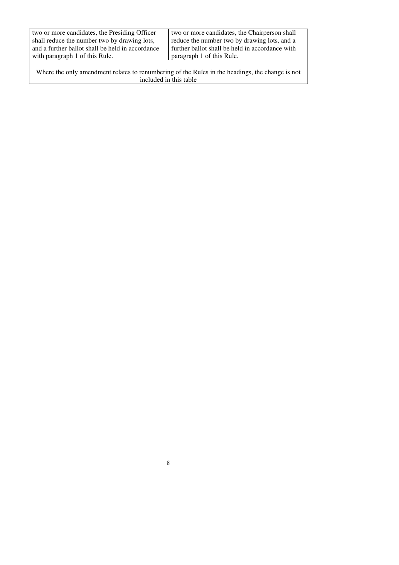| two or more candidates, the Presiding Officer    | two or more candidates, the Chairperson shall   |
|--------------------------------------------------|-------------------------------------------------|
| shall reduce the number two by drawing lots,     | reduce the number two by drawing lots, and a    |
| and a further ballot shall be held in accordance | further ballot shall be held in accordance with |
| with paragraph 1 of this Rule.                   | paragraph 1 of this Rule.                       |
|                                                  |                                                 |

Where the only amendment relates to renumbering of the Rules in the headings, the change is not included in this table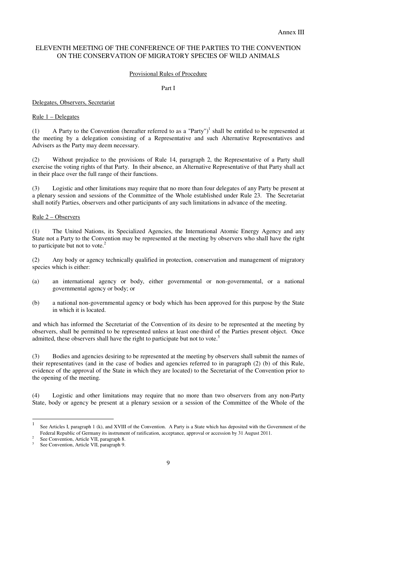#### ELEVENTH MEETING OF THE CONFERENCE OF THE PARTIES TO THE CONVENTION ON THE CONSERVATION OF MIGRATORY SPECIES OF WILD ANIMALS

#### Provisional Rules of Procedure

Part I

#### Delegates, Observers, Secretariat

#### Rule 1 – Delegates

(1) A Party to the Convention (hereafter referred to as a "Party")<sup>1</sup> shall be entitled to be represented at the meeting by a delegation consisting of a Representative and such Alternative Representatives and Advisers as the Party may deem necessary.

(2) Without prejudice to the provisions of Rule 14, paragraph 2, the Representative of a Party shall exercise the voting rights of that Party. In their absence, an Alternative Representative of that Party shall act in their place over the full range of their functions.

(3) Logistic and other limitations may require that no more than four delegates of any Party be present at a plenary session and sessions of the Committee of the Whole established under Rule 23.The Secretariat shall notify Parties, observers and other participants of any such limitations in advance of the meeting.

#### Rule 2 – Observers

(1) The United Nations, its Specialized Agencies, the International Atomic Energy Agency and any State not a Party to the Convention may be represented at the meeting by observers who shall have the right to participate but not to vote.<sup>2</sup>

(2) Any body or agency technically qualified in protection, conservation and management of migratory species which is either:

- (a) an international agency or body, either governmental or non-governmental, or a national governmental agency or body; or
- (b) a national non-governmental agency or body which has been approved for this purpose by the State in which it is located.

and which has informed the Secretariat of the Convention of its desire to be represented at the meeting by observers, shall be permitted to be represented unless at least one-third of the Parties present object. Once admitted, these observers shall have the right to participate but not to vote.<sup>3</sup>

(3) Bodies and agencies desiring to be represented at the meeting by observers shall submit the names of their representatives (and in the case of bodies and agencies referred to in paragraph (2) (b) of this Rule, evidence of the approval of the State in which they are located) to the Secretariat of the Convention prior to the opening of the meeting.

(4) Logistic and other limitations may require that no more than two observers from any non-Party State, body or agency be present at a plenary session or a session of the Committee of the Whole of the

 See Convention, Article VII, paragraph 8. 3

 $\frac{1}{1}$  See Articles I, paragraph 1 (k), and XVIII of the Convention. A Party is a State which has deposited with the Government of the Federal Republic of Germany its instrument of ratification, acceptance, approval or accession by 31 August 2011. 2

See Convention, Article VII, paragraph 9.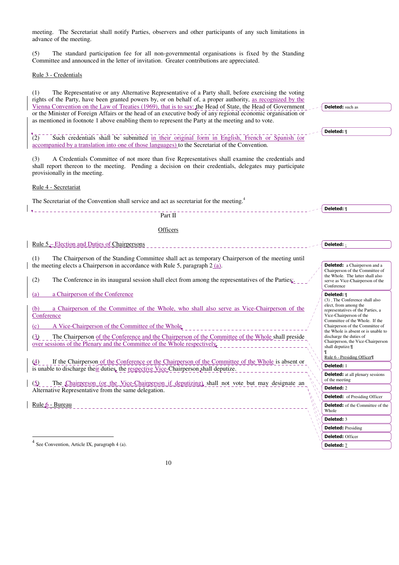meeting. The Secretariat shall notify Parties, observers and other participants of any such limitations in advance of the meeting.

(5) The standard participation fee for all non-governmental organisations is fixed by the Standing Committee and announced in the letter of invitation. Greater contributions are appreciated.

Rule 3 - Credentials

(1) The Representative or any Alternative Representative of a Party shall, before exercising the voting rights of the Party, have been granted powers by, or on behalf of, a proper authority, as recognized by the Vienna Convention on the Law of Treaties (1969), that is to say: the Head of State, the Head of Government or the Minister of Foreign Affairs or the head of an executive body of any regional economic organisation or as mentioned in footnote 1 above enabling them to represent the Party at the meeting and to vote.

(2) Such credentials shall be submitted in their original form in English, French or Spanish (or accompanied by a translation into one of those languages) to the Secretariat of the Convention.

(3) A Credentials Committee of not more than five Representatives shall examine the credentials and shall report thereon to the meeting. Pending a decision on their credentials, delegates may participate provisionally in the meeting.

Rule 4 - Secretariat

The Secretariat of the Convention shall service and act as secretariat for the meeting.<sup>4</sup>



#### **Officers**

Rule 5 – Election and Duties of Chairpersons

(1) The Chairperson of the Standing Committee shall act as temporary Chairperson of the meeting until the meeting elects a Chairperson in accordance with Rule 5, paragraph  $2(a)$ .

(2) The Conference in its inaugural session shall elect from among the representatives of the Parties:.

(a) a Chairperson of the Conference

a Chairperson of the Committee of the Whole, who shall also serve as Vice-Chairperson of the **Conference** 

(c) A Vice-Chairperson of the Committee of the Whole

(3) The Chairperson of the Conference and the Chairperson of the Committee of the Whole shall preside over sessions of the Plenary and the Committee of the Whole respectively.

(4) If the Chairperson of the Conference or the Chairperson of the Committee of the Whole is absent or is unable to discharge their duties, the respective Vice-Chairperson shall deputize.

(5) The Chairperson (or the Vice-Chairperson if deputizing) shall not vote but may designate an Alternative Representative from the same delegation.

Rule 6 - Bureau

 $\overline{\phantom{a}}$ 

Conference Deleted: ¶ (3) The Conference shall also elect, from among the representatives of the Parties, a Vice-Chairperson of the Committee of the Whole. If the Chairperson of the Committee of the Whole is absent or is unable to discharge the duties of Chairperson, the Vice-Chairperson shall deputize. ¶ Rule 6 - Presiding Officer¶ Deleted: 1 Deleted: at all plenary sessions of the meeting Deleted: 2 Deleted: of Presiding Officer Deleted: of the Committee of the Whole Deleted: 3 Deleted: Presiding Deleted: Officer Deleted: 7

Deleted: such as

Deleted: ¶

Deleted: ¶

Deleted:  $\frac{1}{2}$ 

Deleted: a Chairperson and a Chairperson of the Committee of the Whole. The latter shall also serve as Vice-Chairperson of the

<sup>4</sup> See Convention, Article IX, paragraph 4 (a).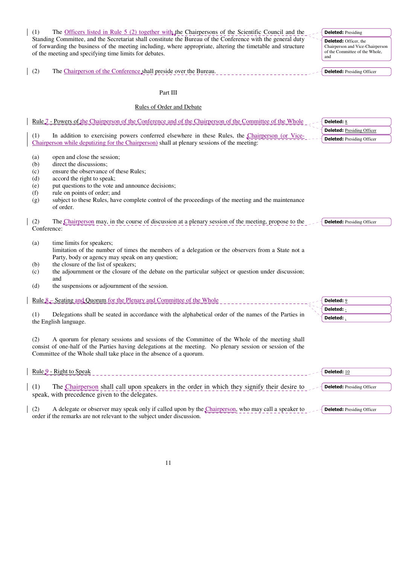| (1)<br>The Officers listed in Rule 5 (2) together with the Chairpersons of the Scientific Council and the                                                                                                                                                                                                                                                                                                               | <b>Deleted: Presiding</b>                                                                                 |
|-------------------------------------------------------------------------------------------------------------------------------------------------------------------------------------------------------------------------------------------------------------------------------------------------------------------------------------------------------------------------------------------------------------------------|-----------------------------------------------------------------------------------------------------------|
| Standing Committee, and the Secretariat shall constitute the Bureau of the Conference with the general duty<br>of forwarding the business of the meeting including, where appropriate, altering the timetable and structure<br>of the meeting and specifying time limits for debates.                                                                                                                                   | <b>Deleted:</b> Officer, the<br>Chairperson and Vice-Chairperson<br>of the Committee of the Whole,<br>and |
| (2)<br>The Chairperson of the Conference shall preside over the Bureau.                                                                                                                                                                                                                                                                                                                                                 | <b>Deleted:</b> Presiding Officer                                                                         |
| Part III                                                                                                                                                                                                                                                                                                                                                                                                                |                                                                                                           |
| <b>Rules of Order and Debate</b>                                                                                                                                                                                                                                                                                                                                                                                        |                                                                                                           |
| Rule 7 - Powers of the Chairperson of the Conference and of the Chairperson of the Committee of the Whole                                                                                                                                                                                                                                                                                                               | <b>Deleted: 8</b>                                                                                         |
|                                                                                                                                                                                                                                                                                                                                                                                                                         | <b>Deleted:</b> Presiding Officer                                                                         |
| (1)<br>In addition to exercising powers conferred elsewhere in these Rules, the Chairperson (or Vice-<br>Chairperson while deputizing for the Chairperson) shall at plenary sessions of the meeting:                                                                                                                                                                                                                    | <b>Deleted:</b> Presiding Officer                                                                         |
| (a)<br>open and close the session;<br>direct the discussions;<br>(b)<br>ensure the observance of these Rules;<br>(c)<br>accord the right to speak;<br>(d)<br>put questions to the vote and announce decisions;<br>(e)<br>rule on points of order; and<br>(f)<br>subject to these Rules, have complete control of the proceedings of the meeting and the maintenance<br>(g)<br>of order.                                 |                                                                                                           |
| (2)<br>The Chairperson may, in the course of discussion at a plenary session of the meeting, propose to the<br>Conference:                                                                                                                                                                                                                                                                                              | <b>Deleted:</b> Presiding Officer                                                                         |
| time limits for speakers;<br>(a)<br>limitation of the number of times the members of a delegation or the observers from a State not a<br>Party, body or agency may speak on any question;<br>the closure of the list of speakers;<br>(b)<br>the adjournment or the closure of the debate on the particular subject or question under discussion;<br>(c)<br>and<br>the suspensions or adjournment of the session.<br>(d) |                                                                                                           |
| Rule 8 – Seating and Quorum for the Plenary and Committee of the Whole                                                                                                                                                                                                                                                                                                                                                  | <b>Deleted: 9</b>                                                                                         |
|                                                                                                                                                                                                                                                                                                                                                                                                                         | Deleted: -                                                                                                |
| Delegations shall be seated in accordance with the alphabetical order of the names of the Parties in<br>(1)<br>the English language.                                                                                                                                                                                                                                                                                    | Deleted:                                                                                                  |
| A quorum for plenary sessions and sessions of the Committee of the Whole of the meeting shall<br>(2)<br>consist of one-half of the Parties having delegations at the meeting. No plenary session or session of the<br>Committee of the Whole shall take place in the absence of a quorum.                                                                                                                               |                                                                                                           |
| Rule 9 - Right to Speak                                                                                                                                                                                                                                                                                                                                                                                                 | Deleted: 10                                                                                               |
| (1)<br>The Chairperson shall call upon speakers in the order in which they signify their desire to<br>speak, with precedence given to the delegates.                                                                                                                                                                                                                                                                    | <b>Deleted:</b> Presiding Officer                                                                         |
| (2)<br>A delegate or observer may speak only if called upon by the Chairperson, who may call a speaker to                                                                                                                                                                                                                                                                                                               | <b>Deleted:</b> Presiding Officer                                                                         |

11

order if the remarks are not relevant to the subject under discussion.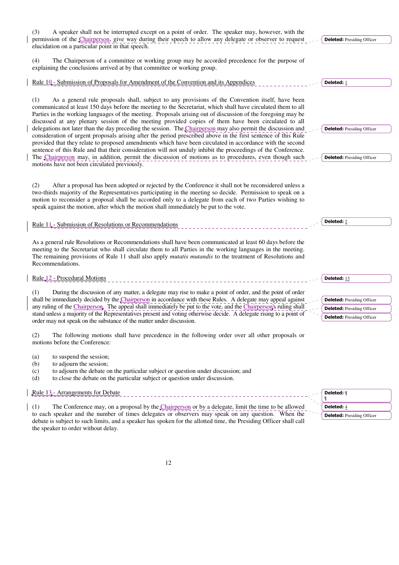| A speaker shall not be interrupted except on a point of order. The speaker may, however, with the<br>(3)                                                                                                                                                                                                                                                                                                                                                                                                                                                                                                                                                                                                                                                                                                                                                                                                                                                                                                                                                                 |                                                                                                             |
|--------------------------------------------------------------------------------------------------------------------------------------------------------------------------------------------------------------------------------------------------------------------------------------------------------------------------------------------------------------------------------------------------------------------------------------------------------------------------------------------------------------------------------------------------------------------------------------------------------------------------------------------------------------------------------------------------------------------------------------------------------------------------------------------------------------------------------------------------------------------------------------------------------------------------------------------------------------------------------------------------------------------------------------------------------------------------|-------------------------------------------------------------------------------------------------------------|
| permission of the Chairperson, give way during their speech to allow any delegate or observer to request<br>elucidation on a particular point in that speech.                                                                                                                                                                                                                                                                                                                                                                                                                                                                                                                                                                                                                                                                                                                                                                                                                                                                                                            | <b>Deleted:</b> Presiding Officer                                                                           |
| The Chairperson of a committee or working group may be accorded precedence for the purpose of<br>(4)<br>explaining the conclusions arrived at by that committee or working group.                                                                                                                                                                                                                                                                                                                                                                                                                                                                                                                                                                                                                                                                                                                                                                                                                                                                                        |                                                                                                             |
| <u>Rule 10 - Submission of Proposals for Amendment of the Convention and its Appendices</u>                                                                                                                                                                                                                                                                                                                                                                                                                                                                                                                                                                                                                                                                                                                                                                                                                                                                                                                                                                              | Deleted: 1                                                                                                  |
| As a general rule proposals shall, subject to any provisions of the Convention itself, have been<br>(1)<br>communicated at least 150 days before the meeting to the Secretariat, which shall have circulated them to all<br>Parties in the working languages of the meeting. Proposals arising out of discussion of the foregoing may be<br>discussed at any plenary session of the meeting provided copies of them have been circulated to all<br>delegations not later than the day preceding the session. The Chairperson may also permit the discussion and<br>consideration of urgent proposals arising after the period prescribed above in the first sentence of this Rule<br>provided that they relate to proposed amendments which have been circulated in accordance with the second<br>sentence of this Rule and that their consideration will not unduly inhibit the proceedings of the Conference.<br>The Chairperson may, in addition, permit the discussion of motions as to procedures, even though such<br>motions have not been circulated previously. | <b>Deleted:</b> Presiding Officer<br><b>Deleted:</b> Presiding Officer                                      |
| (2)<br>After a proposal has been adopted or rejected by the Conference it shall not be reconsidered unless a<br>two-thirds majority of the Representatives participating in the meeting so decide. Permission to speak on a<br>motion to reconsider a proposal shall be accorded only to a delegate from each of two Parties wishing to<br>speak against the motion, after which the motion shall immediately be put to the vote.                                                                                                                                                                                                                                                                                                                                                                                                                                                                                                                                                                                                                                        |                                                                                                             |
| Rule 11 - Submission of Resolutions or Recommendations                                                                                                                                                                                                                                                                                                                                                                                                                                                                                                                                                                                                                                                                                                                                                                                                                                                                                                                                                                                                                   | Deleted: 2                                                                                                  |
| As a general rule Resolutions or Recommendations shall have been communicated at least 60 days before the<br>meeting to the Secretariat who shall circulate them to all Parties in the working languages in the meeting.<br>The remaining provisions of Rule 11 shall also apply <i>mutatis mutandis</i> to the treatment of Resolutions and<br>Recommendations.                                                                                                                                                                                                                                                                                                                                                                                                                                                                                                                                                                                                                                                                                                         |                                                                                                             |
| Rule <sub>,12</sub> - Procedural Motions                                                                                                                                                                                                                                                                                                                                                                                                                                                                                                                                                                                                                                                                                                                                                                                                                                                                                                                                                                                                                                 | Deleted: 13                                                                                                 |
| During the discussion of any matter, a delegate may rise to make a point of order, and the point of order<br>(1)<br>shall be immediately decided by the Chairperson in accordance with these Rules. A delegate may appeal against<br>any ruling of the Chairperson. The appeal shall immediately be put to the vote, and the Chairperson's ruling shall<br>stand unless a majority of the Representatives present and voting otherwise decide. A delegate rising to a point of<br>order may not speak on the substance of the matter under discussion.                                                                                                                                                                                                                                                                                                                                                                                                                                                                                                                   | <b>Deleted:</b> Presiding Officer<br><b>Deleted:</b> Presiding Officer<br><b>Deleted:</b> Presiding Officer |
| (2)<br>The following motions shall have precedence in the following order over all other proposals or<br>motions before the Conference:                                                                                                                                                                                                                                                                                                                                                                                                                                                                                                                                                                                                                                                                                                                                                                                                                                                                                                                                  |                                                                                                             |
| to suspend the session;<br>(a)<br>to adjourn the session;<br>(b)<br>to adjourn the debate on the particular subject or question under discussion; and<br>(c)<br>to close the debate on the particular subject or question under discussion.<br>(d)                                                                                                                                                                                                                                                                                                                                                                                                                                                                                                                                                                                                                                                                                                                                                                                                                       |                                                                                                             |
| Rule 13 - Arrangements for Debate                                                                                                                                                                                                                                                                                                                                                                                                                                                                                                                                                                                                                                                                                                                                                                                                                                                                                                                                                                                                                                        | Deleted: ¶<br>T                                                                                             |
| The Conference may on a proposal by the Chairperson or by a delegate limit the time to be allowed<br>(1)                                                                                                                                                                                                                                                                                                                                                                                                                                                                                                                                                                                                                                                                                                                                                                                                                                                                                                                                                                 | Deleted: /                                                                                                  |

(1) The Conference may, on a proposal by the  $\mathcal{L}$  hairperson or by a delegate, limit the time to be allowed to each speaker and the number of times delegates or observers may speak on any question. When the debate is subject to such limits, and a speaker has spoken for the allotted time, the Presiding Officer shall call the speaker to order without delay.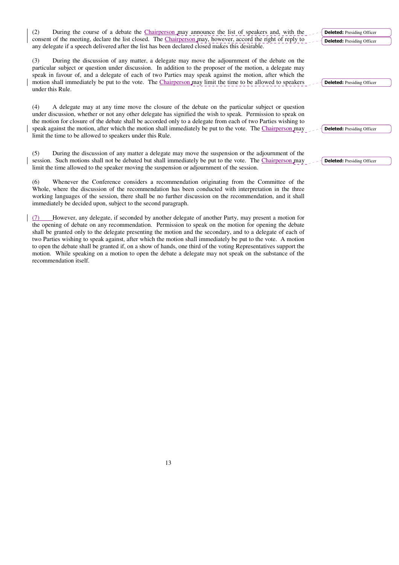(2) During the course of a debate the Chairperson may announce the list of speakers and, with the consent of the meeting, declare the list closed. The Chairperson may, however, accord the right of reply to any delegate if a speech delivered after the list has been declared closed makes this desirable.

(3) During the discussion of any matter, a delegate may move the adjournment of the debate on the particular subject or question under discussion. In addition to the proposer of the motion, a delegate may speak in favour of, and a delegate of each of two Parties may speak against the motion, after which the motion shall immediately be put to the vote. The Chairperson may limit the time to be allowed to speakers under this Rule.

(4) A delegate may at any time move the closure of the debate on the particular subject or question under discussion, whether or not any other delegate has signified the wish to speak. Permission to speak on the motion for closure of the debate shall be accorded only to a delegate from each of two Parties wishing to speak against the motion, after which the motion shall immediately be put to the vote. The Chairperson may limit the time to be allowed to speakers under this Rule.

(5) During the discussion of any matter a delegate may move the suspension or the adjournment of the session. Such motions shall not be debated but shall immediately be put to the vote. The Chairperson may limit the time allowed to the speaker moving the suspension or adjournment of the session.

(6) Whenever the Conference considers a recommendation originating from the Committee of the Whole, where the discussion of the recommendation has been conducted with interpretation in the three working languages of the session, there shall be no further discussion on the recommendation, and it shall immediately be decided upon, subject to the second paragraph.

(7) However, any delegate, if seconded by another delegate of another Party, may present a motion for the opening of debate on any recommendation. Permission to speak on the motion for opening the debate shall be granted only to the delegate presenting the motion and the secondary, and to a delegate of each of two Parties wishing to speak against, after which the motion shall immediately be put to the vote. A motion to open the debate shall be granted if, on a show of hands, one third of the voting Representatives support the motion. While speaking on a motion to open the debate a delegate may not speak on the substance of the recommendation itself.

Deleted: Presiding Officer

Deleted: Presiding Officer **Deleted:** Presiding Officer

Deleted: Presiding Officer

Deleted: Presiding Officer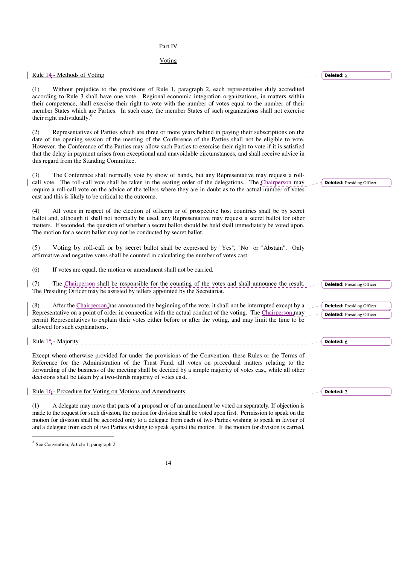### Part IV

### Voting

| Rule 14 - Methods of Voting                                                                                                                                                                                                                                                                                                                                                                                                                                                                               | Deleted: 5                                                             |
|-----------------------------------------------------------------------------------------------------------------------------------------------------------------------------------------------------------------------------------------------------------------------------------------------------------------------------------------------------------------------------------------------------------------------------------------------------------------------------------------------------------|------------------------------------------------------------------------|
| Without prejudice to the provisions of Rule 1, paragraph 2, each representative duly accredited<br>(1)<br>according to Rule 3 shall have one vote. Regional economic integration organizations, in matters within<br>their competence, shall exercise their right to vote with the number of votes equal to the number of their<br>member States which are Parties. In such case, the member States of such organizations shall not exercise<br>their right individually. <sup>5</sup>                    |                                                                        |
| Representatives of Parties which are three or more years behind in paying their subscriptions on the<br>(2)<br>date of the opening session of the meeting of the Conference of the Parties shall not be eligible to vote.<br>However, the Conference of the Parties may allow such Parties to exercise their right to vote if it is satisfied<br>that the delay in payment arises from exceptional and unavoidable circumstances, and shall receive advice in<br>this regard from the Standing Committee. |                                                                        |
| (3)<br>The Conference shall normally vote by show of hands, but any Representative may request a roll-<br>call vote. The roll-call vote shall be taken in the seating order of the delegations. The Chairperson may<br>require a roll-call vote on the advice of the tellers where they are in doubt as to the actual number of votes<br>cast and this is likely to be critical to the outcome.                                                                                                           | <b>Deleted:</b> Presiding Officer                                      |
| All votes in respect of the election of officers or of prospective host countries shall be by secret<br>(4)<br>ballot and, although it shall not normally be used, any Representative may request a secret ballot for other<br>matters. If seconded, the question of whether a secret ballot should be held shall immediately be voted upon.<br>The motion for a secret ballot may not be conducted by secret ballot.                                                                                     |                                                                        |
| (5)<br>Voting by roll-call or by secret ballot shall be expressed by "Yes", "No" or "Abstain". Only<br>affirmative and negative votes shall be counted in calculating the number of votes cast.                                                                                                                                                                                                                                                                                                           |                                                                        |
| (6)<br>If votes are equal, the motion or amendment shall not be carried.                                                                                                                                                                                                                                                                                                                                                                                                                                  |                                                                        |
| (7)<br>The Chairperson shall be responsible for the counting of the votes and shall announce the result.<br>The Presiding Officer may be assisted by tellers appointed by the Secretariat.                                                                                                                                                                                                                                                                                                                | <b>Deleted:</b> Presiding Officer                                      |
| (8)<br>After the Chairperson has announced the beginning of the vote, it shall not be interrupted except by a<br>Representative on a point of order in connection with the actual conduct of the voting. The Chairperson may<br>permit Representatives to explain their votes either before or after the voting, and may limit the time to be<br>allowed for such explanations.                                                                                                                           | <b>Deleted:</b> Presiding Officer<br><b>Deleted:</b> Presiding Officer |
| Rule 15 - Majority                                                                                                                                                                                                                                                                                                                                                                                                                                                                                        | <b>Deleted: 6</b>                                                      |
| Except where otherwise provided for under the provisions of the Convention, these Rules or the Terms of<br>Reference for the Administration of the Trust Fund, all votes on procedural matters relating to the<br>forwarding of the business of the meeting shall be decided by a simple majority of votes cast, while all other<br>decisions shall be taken by a two-thirds majority of votes cast.                                                                                                      |                                                                        |
| Rule 16 - Procedure for Voting on Motions and Amendments                                                                                                                                                                                                                                                                                                                                                                                                                                                  | Deleted: 7                                                             |
| (1)<br>A delegate may move that parts of a proposal or of an amendment be voted on separately. If objection is<br>made to the request for such division, the motion for division shall be voted upon first. Permission to speak on the                                                                                                                                                                                                                                                                    |                                                                        |

5 See Convention, Article 1, paragraph 2.

motion for division shall be accorded only to a delegate from each of two Parties wishing to speak in favour of and a delegate from each of two Parties wishing to speak against the motion. If the motion for division is carried,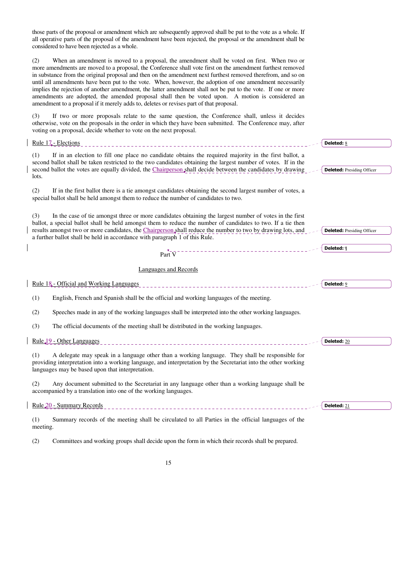those parts of the proposal or amendment which are subsequently approved shall be put to the vote as a whole. If all operative parts of the proposal of the amendment have been rejected, the proposal or the amendment shall be considered to have been rejected as a whole.

(2) When an amendment is moved to a proposal, the amendment shall be voted on first. When two or more amendments are moved to a proposal, the Conference shall vote first on the amendment furthest removed in substance from the original proposal and then on the amendment next furthest removed therefrom, and so on until all amendments have been put to the vote. When, however, the adoption of one amendment necessarily implies the rejection of another amendment, the latter amendment shall not be put to the vote. If one or more amendments are adopted, the amended proposal shall then be voted upon. A motion is considered an amendment to a proposal if it merely adds to, deletes or revises part of that proposal.

(3) If two or more proposals relate to the same question, the Conference shall, unless it decides otherwise, vote on the proposals in the order in which they have been submitted. The Conference may, after voting on a proposal, decide whether to vote on the next proposal.

| Rule 17 - Elections                                                                                                                                                                                                                                                                                                                                                                                                         | <b>Deleted: 8</b>                 |
|-----------------------------------------------------------------------------------------------------------------------------------------------------------------------------------------------------------------------------------------------------------------------------------------------------------------------------------------------------------------------------------------------------------------------------|-----------------------------------|
| If in an election to fill one place no candidate obtains the required majority in the first ballot, a<br>(1)<br>second ballot shall be taken restricted to the two candidates obtaining the largest number of votes. If in the<br>second ballot the votes are equally divided, the Chairperson shall decide between the candidates by drawing<br>lots.                                                                      | <b>Deleted:</b> Presiding Officer |
| (2)<br>If in the first ballot there is a tie amongst candidates obtaining the second largest number of votes, a<br>special ballot shall be held amongst them to reduce the number of candidates to two.                                                                                                                                                                                                                     |                                   |
| In the case of tie amongst three or more candidates obtaining the largest number of votes in the first<br>(3)<br>ballot, a special ballot shall be held amongst them to reduce the number of candidates to two. If a tie then<br>results amongst two or more candidates, the Chairperson shall reduce the number to two by drawing lots, and<br>a further ballot shall be held in accordance with paragraph 1 of this Rule. | <b>Deleted:</b> Presiding Officer |
| Part $V^-$                                                                                                                                                                                                                                                                                                                                                                                                                  | Deleted: ¶                        |
| Languages and Records                                                                                                                                                                                                                                                                                                                                                                                                       |                                   |
| Rule 18. - Official and Working Languages                                                                                                                                                                                                                                                                                                                                                                                   | Deleted: 9                        |
| English, French and Spanish shall be the official and working languages of the meeting.<br>(1)                                                                                                                                                                                                                                                                                                                              |                                   |
| Speeches made in any of the working languages shall be interpreted into the other working languages.<br>(2)                                                                                                                                                                                                                                                                                                                 |                                   |
| The official documents of the meeting shall be distributed in the working languages.<br>(3)                                                                                                                                                                                                                                                                                                                                 |                                   |
| Rule 19 - Other Languages                                                                                                                                                                                                                                                                                                                                                                                                   | Deleted: 20                       |
| A delegate may speak in a language other than a working language. They shall be responsible for<br>(1)<br>providing interpretation into a working language, and interpretation by the Secretariat into the other working<br>languages may be based upon that interpretation.                                                                                                                                                |                                   |
| (2)<br>Any document submitted to the Secretariat in any language other than a working language shall be<br>accompanied by a translation into one of the working languages.                                                                                                                                                                                                                                                  |                                   |
| Rule 20 - Summary Records                                                                                                                                                                                                                                                                                                                                                                                                   | Deleted: $21$                     |
| (1)<br>Summary records of the meeting shall be circulated to all Parties in the official languages of the<br>meeting.                                                                                                                                                                                                                                                                                                       |                                   |

(2) Committees and working groups shall decide upon the form in which their records shall be prepared.

15